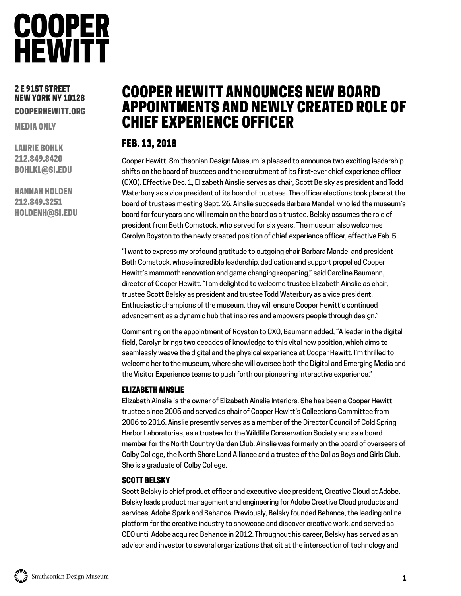### **COOPER HEWITT**

#### 2 E 91ST STREET NEW YORK NY 10128 COOPERHEWITT.ORG

MEDIA ONLY

LAURIE BOHLK 212.849.8420 BOHLKL@SI.EDU

HANNAH HOLDEN 212.849.3251 HOLDENH@SI.EDU

### COOPER HEWITT ANNOUNCES NEW BOARD APPOINTMENTS AND NEWLY CREATED ROLE OF CHIEF EXPERIENCE OFFICER

#### FEB. 13, 2018

Cooper Hewitt, Smithsonian Design Museum is pleased to announce two exciting leadership shifts on the board of trustees and the recruitment of its first-ever chief experience officer (CXO). Effective Dec. 1, Elizabeth Ainslie serves as chair, Scott Belsky as president and Todd Waterbury as a vice president of its board of trustees. The officer elections took place at the board of trustees meeting Sept. 26. Ainslie succeeds Barbara Mandel, who led the museum's board for four years and will remain on the board as a trustee. Belsky assumes the role of president from Beth Comstock, who served for six years. The museum also welcomes Carolyn Royston to the newly created position of chief experience officer, effective Feb. 5.

"I want to express my profound gratitude to outgoing chair Barbara Mandel and president Beth Comstock, whose incredible leadership, dedication and support propelled Cooper Hewitt's mammoth renovation and game changing reopening," said Caroline Baumann, director of Cooper Hewitt. "I am delighted to welcome trustee Elizabeth Ainslie as chair, trustee Scott Belsky as president and trustee Todd Waterbury as a vice president. Enthusiastic champions of the museum, they will ensure Cooper Hewitt's continued advancement as a dynamic hub that inspires and empowers people through design."

Commenting on the appointment of Royston to CXO, Baumann added, "A leader in the digital field, Carolyn brings two decades of knowledge to this vital new position, which aims to seamlessly weave the digital and the physical experience at Cooper Hewitt. I'm thrilled to welcome her to the museum, where she will oversee both the Digital and Emerging Media and the Visitor Experience teams to push forth our pioneering interactive experience."

#### ELIZABETH AINSLIE

Elizabeth Ainslie is the owner of Elizabeth Ainslie Interiors. She has been a Cooper Hewitt trustee since 2005 and served as chair of Cooper Hewitt's Collections Committee from 2006 to 2016. Ainslie presently serves as a member of the Director Council of Cold Spring Harbor Laboratories, as a trustee for the Wildlife Conservation Society and as a board member for the North Country Garden Club. Ainslie was formerly on the board of overseers of Colby College, the North Shore Land Alliance and a trustee of the Dallas Boys and Girls Club. She is a graduate of Colby College.

#### SCOTT BELSKY

Scott Belsky is chief product officer and executive vice president, Creative Cloud at Adobe. Belsky leads product management and engineering for Adobe Creative Cloud products and services, Adobe Spark and Behance. Previously, Belsky founded Behance, the leading online platform for the creative industry to showcase and discover creative work, and served as CEO until Adobe acquired Behance in 2012. Throughout his career, Belsky has served as an advisor and investor to several organizations that sit at the intersection of technology and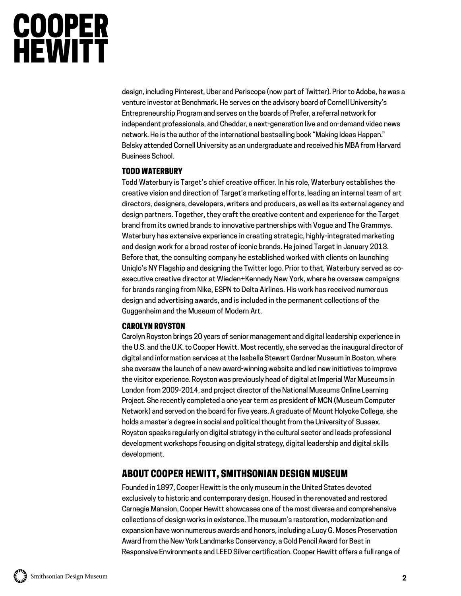# **COOPER<br>HEWITT**

design, including Pinterest, Uber and Periscope (now part of Twitter). Prior to Adobe, he was a venture investor at Benchmark. He serves on the advisory board of Cornell University's Entrepreneurship Program and serves on the boards of Prefer, a referral network for independent professionals, and Cheddar, a next-generation live and on-demand video news network. He is the author of the international bestselling book "Making Ideas Happen." Belsky attended Cornell University as an undergraduate and received his MBA from Harvard Business School.

#### TODD WATERBURY

Todd Waterbury is Target's chief creative officer. In his role, Waterbury establishes the creative vision and direction of Target's marketing efforts, leading an internal team of art directors, designers, developers, writers and producers, as well as its external agency and design partners. Together, they craft the creative content and experience for the Target brand from its owned brands to innovative partnerships with Vogue and The Grammys. Waterbury has extensive experience in creating strategic, highly-integrated marketing and design work for a broad roster of iconic brands. He joined Target in January 2013. Before that, the consulting company he established worked with clients on launching Uniqlo's NY Flagship and designing the Twitter logo. Prior to that, Waterbury served as coexecutive creative director at Wieden+Kennedy New York, where he oversaw campaigns for brands ranging from Nike, ESPN to Delta Airlines. His work has received numerous design and advertising awards, and is included in the permanent collections of the Guggenheim and the Museum of Modern Art.

#### CAROLYN ROYSTON

Carolyn Royston brings 20 years of senior management and digital leadership experience in the U.S. and the U.K. to Cooper Hewitt. Most recently, she served as the inaugural director of digital and information services at the Isabella Stewart Gardner Museum in Boston, where she oversaw the launch of a new award-winning website and led new initiatives to improve the visitor experience. Royston was previously head of digital at Imperial War Museums in London from 2009-2014, and project director of the National Museums Online Learning Project. She recently completed a one year term as president of MCN (Museum Computer Network) and served on the board for five years. A graduate of Mount Holyoke College, she holds a master's degree in social and political thought from the University of Sussex. Royston speaks regularly on digital strategy in the cultural sector and leads professional development workshops focusing on digital strategy, digital leadership and digital skills development.

#### ABOUT COOPER HEWITT, SMITHSONIAN DESIGN MUSEUM

Founded in 1897, Cooper Hewitt is the only museum in the United States devoted exclusively to historic and contemporary design. Housed in the renovated and restored Carnegie Mansion, Cooper Hewitt showcases one of the most diverse and comprehensive collections of design works in existence. The museum's restoration, modernization and expansion have won numerous awards and honors, including a Lucy G. Moses Preservation Award from the New York Landmarks Conservancy, a Gold Pencil Award for Best in Responsive Environments and LEED Silver certification. Cooper Hewitt offers a full range of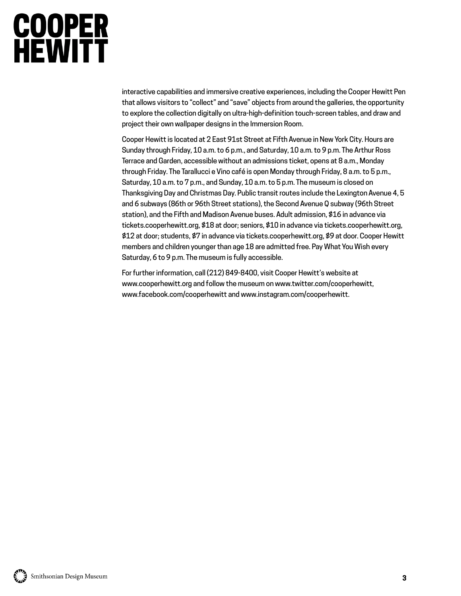# **COOPER**<br>HEWITT

interactive capabilities and immersive creative experiences, including the Cooper Hewitt Pen that allows visitors to "collect" and "save" objects from around the galleries, the opportunity to explore the collection digitally on ultra-high-definition touch-screen tables, and draw and project their own wallpaper designs in the Immersion Room.

Cooper Hewitt is located at 2 East 91st Street at Fifth Avenue in New York City. Hours are Sunday through Friday, 10 a.m. to 6 p.m., and Saturday, 10 a.m. to 9 p.m. The Arthur Ross Terrace and Garden, accessible without an admissions ticket, opens at 8 a.m., Monday through Friday. The Tarallucci e Vino café is open Monday through Friday, 8 a.m. to 5 p.m., Saturday, 10 a.m. to 7 p.m., and Sunday, 10 a.m. to 5 p.m. The museum is closed on Thanksgiving Day and Christmas Day. Public transit routes include the Lexington Avenue 4, 5 and 6 subways (86th or 96th Street stations), the Second Avenue Q subway (96th Street station), and the Fifth and Madison Avenue buses. Adult admission, \$16 in advance via tickets.cooperhewitt.org, \$18 at door; seniors, \$10 in advance via tickets.cooperhewitt.org, \$12 at door; students, \$7 in advance via tickets.cooperhewitt.org, \$9 at door. Cooper Hewitt members and children younger than age 18 are admitted free. Pay What You Wish every Saturday, 6 to 9 p.m. The museum is fully accessible.

For further information, call (212) 849-8400, visit Cooper Hewitt's website at www.cooperhewitt.org and follow the museum on www.twitter.com/cooperhewitt, www.facebook.com/cooperhewitt an[d www.instagram.com/cooperhewitt.](http://www.instagram.com/cooperhewitt)